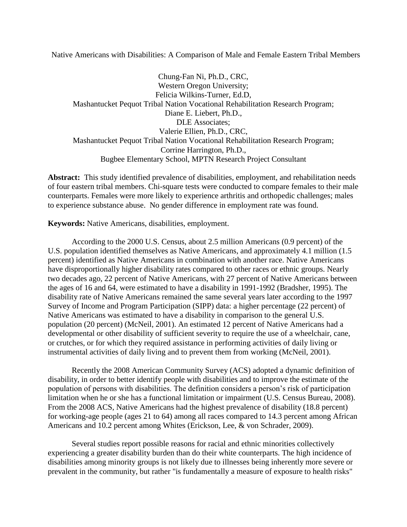Native Americans with Disabilities: A Comparison of Male and Female Eastern Tribal Members

Chung-Fan Ni, Ph.D., CRC, Western Oregon University; Felicia Wilkins-Turner, Ed.D, Mashantucket Pequot Tribal Nation Vocational Rehabilitation Research Program; Diane E. Liebert, Ph.D., DLE Associates; Valerie Ellien, Ph.D., CRC, Mashantucket Pequot Tribal Nation Vocational Rehabilitation Research Program; Corrine Harrington, Ph.D., Bugbee Elementary School, MPTN Research Project Consultant

**Abstract:** This study identified prevalence of disabilities, employment, and rehabilitation needs of four eastern tribal members. Chi-square tests were conducted to compare females to their male counterparts. Females were more likely to experience arthritis and orthopedic challenges; males to experience substance abuse. No gender difference in employment rate was found.

**Keywords:** Native Americans, disabilities, employment.

According to the 2000 U.S. Census, about 2.5 million Americans (0.9 percent) of the U.S. population identified themselves as Native Americans, and approximately 4.1 million (1.5 percent) identified as Native Americans in combination with another race. Native Americans have disproportionally higher disability rates compared to other races or ethnic groups. Nearly two decades ago, 22 percent of Native Americans, with 27 percent of Native Americans between the ages of 16 and 64, were estimated to have a disability in 1991-1992 (Bradsher, 1995). The disability rate of Native Americans remained the same several years later according to the 1997 Survey of Income and Program Participation (SIPP) data: a higher percentage (22 percent) of Native Americans was estimated to have a disability in comparison to the general U.S. population (20 percent) (McNeil, 2001). An estimated 12 percent of Native Americans had a developmental or other disability of sufficient severity to require the use of a wheelchair, cane, or crutches, or for which they required assistance in performing activities of daily living or instrumental activities of daily living and to prevent them from working (McNeil, 2001).

Recently the 2008 American Community Survey (ACS) adopted a dynamic definition of disability, in order to better identify people with disabilities and to improve the estimate of the population of persons with disabilities. The definition considers a person's risk of participation limitation when he or she has a functional limitation or impairment (U.S. Census Bureau, 2008). From the 2008 ACS, Native Americans had the highest prevalence of disability (18.8 percent) for working-age people (ages 21 to 64) among all races compared to 14.3 percent among African Americans and 10.2 percent among Whites (Erickson, Lee, & von Schrader, 2009).

Several studies report possible reasons for racial and ethnic minorities collectively experiencing a greater disability burden than do their white counterparts. The high incidence of disabilities among minority groups is not likely due to illnesses being inherently more severe or prevalent in the community, but rather "is fundamentally a measure of exposure to health risks"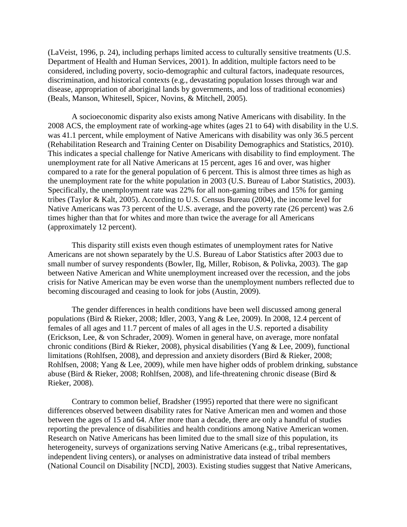(LaVeist, 1996, p. 24), including perhaps limited access to culturally sensitive treatments (U.S. Department of Health and Human Services, 2001). In addition, multiple factors need to be considered, including poverty, socio-demographic and cultural factors, inadequate resources, discrimination, and historical contexts (e.g., devastating population losses through war and disease, appropriation of aboriginal lands by governments, and loss of traditional economies) (Beals, Manson, Whitesell, Spicer, Novins, & Mitchell, 2005).

A socioeconomic disparity also exists among Native Americans with disability. In the 2008 ACS, the employment rate of working-age whites (ages 21 to 64) with disability in the U.S. was 41.1 percent, while employment of Native Americans with disability was only 36.5 percent (Rehabilitation Research and Training Center on Disability Demographics and Statistics, 2010). This indicates a special challenge for Native Americans with disability to find employment. The unemployment rate for all Native Americans at 15 percent, ages 16 and over, was higher compared to a rate for the general population of 6 percent. This is almost three times as high as the unemployment rate for the white population in 2003 (U.S. Bureau of Labor Statistics, 2003). Specifically, the unemployment rate was 22% for all non-gaming tribes and 15% for gaming tribes (Taylor & Kalt, 2005). According to U.S. Census Bureau (2004), the income level for Native Americans was 73 percent of the U.S. average, and the poverty rate (26 percent) was 2.6 times higher than that for whites and more than twice the average for all Americans (approximately 12 percent).

This disparity still exists even though estimates of unemployment rates for Native Americans are not shown separately by the U.S. Bureau of Labor Statistics after 2003 due to small number of survey respondents (Bowler, Ilg, Miller, Robison, & Polivka, 2003). The gap between Native American and White unemployment increased over the recession, and the jobs crisis for Native American may be even worse than the unemployment numbers reflected due to becoming discouraged and ceasing to look for jobs (Austin, 2009).

The gender differences in health conditions have been well discussed among general populations (Bird & Rieker, 2008; Idler, 2003, Yang & Lee, 2009). In 2008, 12.4 percent of females of all ages and 11.7 percent of males of all ages in the U.S. reported a disability (Erickson, Lee, & von Schrader, 2009). Women in general have, on average, more nonfatal chronic conditions (Bird & Rieker, 2008), physical disabilities (Yang & Lee, 2009), functional limitations (Rohlfsen, 2008), and depression and anxiety disorders (Bird & Rieker, 2008; Rohlfsen, 2008; Yang & Lee, 2009), while men have higher odds of problem drinking, substance abuse (Bird & Rieker, 2008; Rohlfsen, 2008), and life-threatening chronic disease (Bird & Rieker, 2008).

Contrary to common belief, Bradsher (1995) reported that there were no significant differences observed between disability rates for Native American men and women and those between the ages of 15 and 64. After more than a decade, there are only a handful of studies reporting the prevalence of disabilities and health conditions among Native American women. Research on Native Americans has been limited due to the small size of this population, its heterogeneity, surveys of organizations serving Native Americans (e.g., tribal representatives, independent living centers), or analyses on administrative data instead of tribal members (National Council on Disability [NCD], 2003). Existing studies suggest that Native Americans,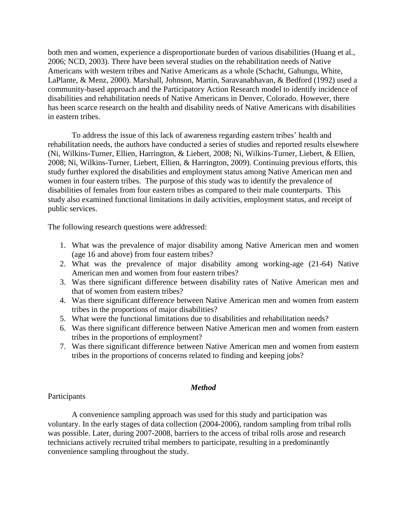both men and women, experience a disproportionate burden of various disabilities (Huang et al., 2006; NCD, 2003). There have been several studies on the rehabilitation needs of Native Americans with western tribes and Native Americans as a whole (Schacht, Gahungu, White, LaPlante, & Menz, 2000). Marshall, Johnson, Martin, Saravanabhavan, & Bedford (1992) used a community-based approach and the Participatory Action Research model to identify incidence of disabilities and rehabilitation needs of Native Americans in Denver, Colorado. However, there has been scarce research on the health and disability needs of Native Americans with disabilities in eastern tribes.

To address the issue of this lack of awareness regarding eastern tribes' health and rehabilitation needs, the authors have conducted a series of studies and reported results elsewhere (Ni, Wilkins-Turner, Ellien, Harrington, & Liebert, 2008; Ni, Wilkins-Turner, Liebert, & Ellien, 2008; Ni, Wilkins-Turner, Liebert, Ellien, & Harrington, 2009). Continuing previous efforts, this study further explored the disabilities and employment status among Native American men and women in four eastern tribes. The purpose of this study was to identify the prevalence of disabilities of females from four eastern tribes as compared to their male counterparts. This study also examined functional limitations in daily activities, employment status, and receipt of public services.

The following research questions were addressed:

- 1. What was the prevalence of major disability among Native American men and women (age 16 and above) from four eastern tribes?
- 2. What was the prevalence of major disability among working-age (21-64) Native American men and women from four eastern tribes?
- 3. Was there significant difference between disability rates of Native American men and that of women from eastern tribes?
- 4. Was there significant difference between Native American men and women from eastern tribes in the proportions of major disabilities?
- 5. What were the functional limitations due to disabilities and rehabilitation needs?
- 6. Was there significant difference between Native American men and women from eastern tribes in the proportions of employment?
- 7. Was there significant difference between Native American men and women from eastern tribes in the proportions of concerns related to finding and keeping jobs?

### *Method*

### **Participants**

A convenience sampling approach was used for this study and participation was voluntary. In the early stages of data collection (2004-2006), random sampling from tribal rolls was possible. Later, during 2007-2008, barriers to the access of tribal rolls arose and research technicians actively recruited tribal members to participate, resulting in a predominantly convenience sampling throughout the study.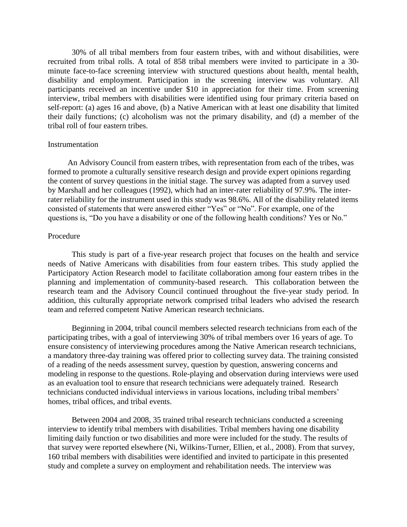30% of all tribal members from four eastern tribes, with and without disabilities, were recruited from tribal rolls. A total of 858 tribal members were invited to participate in a 30 minute face-to-face screening interview with structured questions about health, mental health, disability and employment. Participation in the screening interview was voluntary. All participants received an incentive under \$10 in appreciation for their time. From screening interview, tribal members with disabilities were identified using four primary criteria based on self-report: (a) ages 16 and above, (b) a Native American with at least one disability that limited their daily functions; (c) alcoholism was not the primary disability, and (d) a member of the tribal roll of four eastern tribes.

#### **Instrumentation**

 An Advisory Council from eastern tribes, with representation from each of the tribes, was formed to promote a culturally sensitive research design and provide expert opinions regarding the content of survey questions in the initial stage. The survey was adapted from a survey used by Marshall and her colleagues (1992), which had an inter-rater reliability of 97.9%. The interrater reliability for the instrument used in this study was 98.6%. All of the disability related items consisted of statements that were answered either "Yes" or "No". For example, one of the questions is, "Do you have a disability or one of the following health conditions? Yes or No."

### Procedure

This study is part of a five-year research project that focuses on the health and service needs of Native Americans with disabilities from four eastern tribes. This study applied the Participatory Action Research model to facilitate collaboration among four eastern tribes in the planning and implementation of community-based research. This collaboration between the research team and the Advisory Council continued throughout the five-year study period. In addition, this culturally appropriate network comprised tribal leaders who advised the research team and referred competent Native American research technicians.

Beginning in 2004, tribal council members selected research technicians from each of the participating tribes, with a goal of interviewing 30% of tribal members over 16 years of age. To ensure consistency of interviewing procedures among the Native American research technicians, a mandatory three-day training was offered prior to collecting survey data. The training consisted of a reading of the needs assessment survey, question by question, answering concerns and modeling in response to the questions. Role-playing and observation during interviews were used as an evaluation tool to ensure that research technicians were adequately trained. Research technicians conducted individual interviews in various locations, including tribal members' homes, tribal offices, and tribal events.

Between 2004 and 2008, 35 trained tribal research technicians conducted a screening interview to identify tribal members with disabilities. Tribal members having one disability limiting daily function or two disabilities and more were included for the study. The results of that survey were reported elsewhere (Ni, Wilkins-Turner, Ellien, et al., 2008). From that survey, 160 tribal members with disabilities were identified and invited to participate in this presented study and complete a survey on employment and rehabilitation needs. The interview was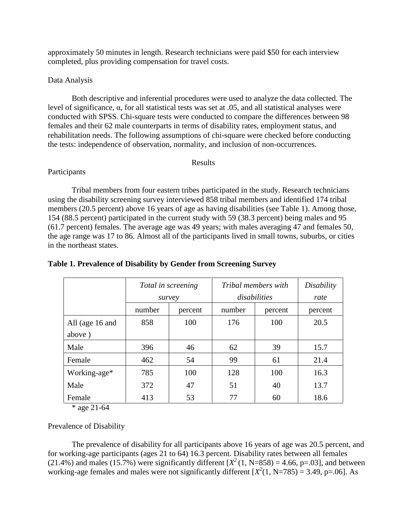approximately 50 minutes in length. Research technicians were paid \$50 for each interview completed, plus providing compensation for travel costs.

## Data Analysis

Both descriptive and inferential procedures were used to analyze the data collected. The level of significance, α, for all statistical tests was set at .05, and all statistical analyses were conducted with SPSS. Chi-square tests were conducted to compare the differences between 98 females and their 62 male counterparts in terms of disability rates, employment status, and rehabilitation needs. The following assumptions of chi-square were checked before conducting the tests: independence of observation, normality, and inclusion of non-occurrences.

#### Results

## Participants

Tribal members from four eastern tribes participated in the study. Research technicians using the disability screening survey interviewed 858 tribal members and identified 174 tribal members (20.5 percent) above 16 years of age as having disabilities (see Table 1). Among those, 154 (88.5 percent) participated in the current study with 59 (38.3 percent) being males and 95 (61.7 percent) females. The average age was 49 years; with males averaging 47 and females 50, the age range was 17 to 86. Almost all of the participants lived in small towns, suburbs, or cities in the northeast states.

|                 | Total in screening<br>survey |         | Tribal members with<br>disabilities | Disability<br>rate |         |
|-----------------|------------------------------|---------|-------------------------------------|--------------------|---------|
|                 | number                       | percent | number                              | percent            | percent |
| All (age 16 and | 858                          | 100     | 176                                 | 100                | 20.5    |
| above)          |                              |         |                                     |                    |         |
| Male            | 396                          | 46      | 62                                  | 39                 | 15.7    |
| Female          | 462                          | 54      | 99                                  | 61                 | 21.4    |
| Working-age*    | 785                          | 100     | 128                                 | 100                | 16.3    |
| Male            | 372                          | 47      | 51                                  | 40                 | 13.7    |
| Female          | 413                          | 53      | 77                                  | 60                 | 18.6    |

# **Table 1. Prevalence of Disability by Gender from Screening Survey**

\* age 21-64

Prevalence of Disability

The prevalence of disability for all participants above 16 years of age was 20.5 percent, and for working-age participants (ages 21 to 64) 16.3 percent. Disability rates between all females (21.4%) and males (15.7%) were significantly different  $[X^2(1, N=858) = 4.66, p=.03]$ , and between working-age females and males were not significantly different  $[X^2(1, N=785) = 3.49, p=.06]$ . As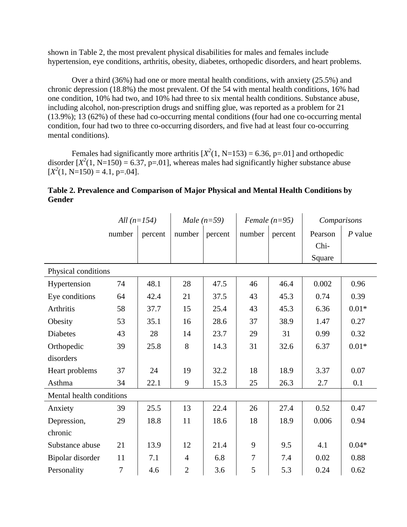shown in Table 2, the most prevalent physical disabilities for males and females include hypertension, eye conditions, arthritis, obesity, diabetes, orthopedic disorders, and heart problems.

Over a third (36%) had one or more mental health conditions, with anxiety (25.5%) and chronic depression (18.8%) the most prevalent. Of the 54 with mental health conditions, 16% had one condition, 10% had two, and 10% had three to six mental health conditions. Substance abuse, including alcohol, non-prescription drugs and sniffing glue, was reported as a problem for 21 (13.9%); 13 (62%) of these had co-occurring mental conditions (four had one co-occurring mental condition, four had two to three co-occurring disorders, and five had at least four co-occurring mental conditions).

Females had significantly more arthritis  $[X^2(1, N=153) = 6.36$ , p=.01] and orthopedic disorder  $[X^2(1, N=150) = 6.37$ , p=.01], whereas males had significantly higher substance abuse  $[X<sup>2</sup>(1, N=150) = 4.1, p=.04].$ 

|                          | All $(n=154)$ |         | Male $(n=59)$  |         | Female $(n=95)$ |         | Comparisons |           |
|--------------------------|---------------|---------|----------------|---------|-----------------|---------|-------------|-----------|
|                          | number        | percent | number         | percent | number          | percent | Pearson     | $P$ value |
|                          |               |         |                |         |                 |         | Chi-        |           |
|                          |               |         |                |         |                 |         | Square      |           |
| Physical conditions      |               |         |                |         |                 |         |             |           |
| Hypertension             | 74            | 48.1    | 28             | 47.5    | 46              | 46.4    | 0.002       | 0.96      |
| Eye conditions           | 64            | 42.4    | 21             | 37.5    | 43              | 45.3    | 0.74        | 0.39      |
| Arthritis                | 58            | 37.7    | 15             | 25.4    | 43              | 45.3    | 6.36        | $0.01*$   |
| Obesity                  | 53            | 35.1    | 16             | 28.6    | 37              | 38.9    | 1.47        | 0.27      |
| <b>Diabetes</b>          | 43            | 28      | 14             | 23.7    | 29              | 31      | 0.99        | 0.32      |
| Orthopedic               | 39            | 25.8    | 8              | 14.3    | 31              | 32.6    | 6.37        | $0.01*$   |
| disorders                |               |         |                |         |                 |         |             |           |
| Heart problems           | 37            | 24      | 19             | 32.2    | 18              | 18.9    | 3.37        | 0.07      |
| Asthma                   | 34            | 22.1    | 9              | 15.3    | 25              | 26.3    | 2.7         | 0.1       |
| Mental health conditions |               |         |                |         |                 |         |             |           |
| Anxiety                  | 39            | 25.5    | 13             | 22.4    | 26              | 27.4    | 0.52        | 0.47      |
| Depression,              | 29            | 18.8    | 11             | 18.6    | 18              | 18.9    | 0.006       | 0.94      |
| chronic                  |               |         |                |         |                 |         |             |           |
| Substance abuse          | 21            | 13.9    | 12             | 21.4    | 9               | 9.5     | 4.1         | $0.04*$   |
| Bipolar disorder         | 11            | 7.1     | $\overline{4}$ | 6.8     | $\tau$          | 7.4     | 0.02        | 0.88      |
| Personality              | 7             | 4.6     | $\overline{2}$ | 3.6     | 5               | 5.3     | 0.24        | 0.62      |

**Table 2. Prevalence and Comparison of Major Physical and Mental Health Conditions by Gender**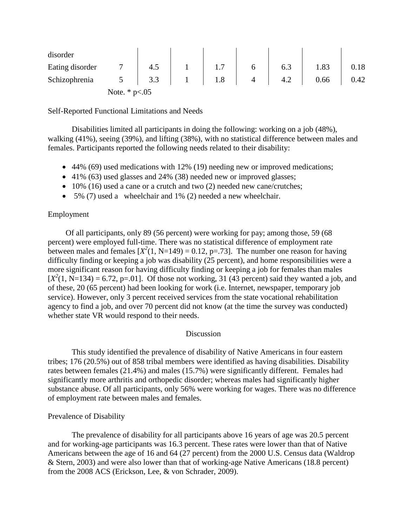| disorder        |                     |     |     |   |     |      |      |
|-----------------|---------------------|-----|-----|---|-----|------|------|
| Eating disorder |                     | 4.5 | 1.1 |   | 6.3 | 1.83 | 0.18 |
| Schizophrenia   |                     | 3.3 | 1.8 | 4 | 4.2 | 0.66 | 0.42 |
|                 | Note. $*$ p $< .05$ |     |     |   |     |      |      |

Self-Reported Functional Limitations and Needs

Disabilities limited all participants in doing the following: working on a job (48%), walking (41%), seeing (39%), and lifting (38%), with no statistical difference between males and females. Participants reported the following needs related to their disability:

- 44% (69) used medications with 12% (19) needing new or improved medications;
- 41% (63) used glasses and 24% (38) needed new or improved glasses;
- 10% (16) used a cane or a crutch and two (2) needed new cane/crutches;
- 5% (7) used a wheelchair and 1% (2) needed a new wheelchair.

### Employment

Of all participants, only 89 (56 percent) were working for pay; among those, 59 (68 percent) were employed full-time. There was no statistical difference of employment rate between males and females  $[X^2(1, N=149) = 0.12$ , p=.73]. The number one reason for having difficulty finding or keeping a job was disability (25 percent), and home responsibilities were a more significant reason for having difficulty finding or keeping a job for females than males  $[X<sup>2</sup>(1, N=134) = 6.72$ , p=.01]. Of those not working, 31 (43 percent) said they wanted a job, and of these, 20 (65 percent) had been looking for work (i.e. Internet, newspaper, temporary job service). However, only 3 percent received services from the state vocational rehabilitation agency to find a job, and over 70 percent did not know (at the time the survey was conducted) whether state VR would respond to their needs.

### Discussion

This study identified the prevalence of disability of Native Americans in four eastern tribes; 176 (20.5%) out of 858 tribal members were identified as having disabilities. Disability rates between females (21.4%) and males (15.7%) were significantly different. Females had significantly more arthritis and orthopedic disorder; whereas males had significantly higher substance abuse. Of all participants, only 56% were working for wages. There was no difference of employment rate between males and females.

### Prevalence of Disability

The prevalence of disability for all participants above 16 years of age was 20.5 percent and for working-age participants was 16.3 percent. These rates were lower than that of Native Americans between the age of 16 and 64 (27 percent) from the 2000 U.S. Census data (Waldrop & Stern, 2003) and were also lower than that of working-age Native Americans (18.8 percent) from the 2008 ACS (Erickson, Lee, & von Schrader, 2009).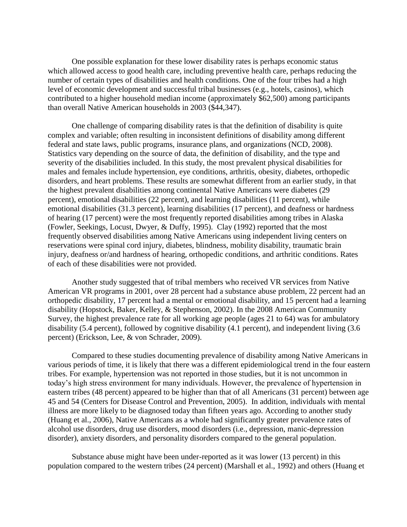One possible explanation for these lower disability rates is perhaps economic status which allowed access to good health care, including preventive health care, perhaps reducing the number of certain types of disabilities and health conditions. One of the four tribes had a high level of economic development and successful tribal businesses (e.g., hotels, casinos), which contributed to a higher household median income (approximately \$62,500) among participants than overall Native American households in 2003 (\$44,347).

One challenge of comparing disability rates is that the definition of disability is quite complex and variable; often resulting in inconsistent definitions of disability among different federal and state laws, public programs, insurance plans, and organizations (NCD, 2008). Statistics vary depending on the source of data, the definition of disability, and the type and severity of the disabilities included. In this study, the most prevalent physical disabilities for males and females include hypertension, eye conditions, arthritis, obesity, diabetes, orthopedic disorders, and heart problems. These results are somewhat different from an earlier study, in that the highest prevalent disabilities among continental Native Americans were diabetes (29 percent), emotional disabilities (22 percent), and learning disabilities (11 percent), while emotional disabilities (31.3 percent), learning disabilities (17 percent), and deafness or hardness of hearing (17 percent) were the most frequently reported disabilities among tribes in Alaska (Fowler, Seekings, Locust, Dwyer, & Duffy, 1995). Clay (1992) reported that the most frequently observed disabilities among Native Americans using independent living centers on reservations were spinal cord injury, diabetes, blindness, mobility disability, traumatic brain injury, deafness or/and hardness of hearing, orthopedic conditions, and arthritic conditions. Rates of each of these disabilities were not provided.

Another study suggested that of tribal members who received VR services from Native American VR programs in 2001, over 28 percent had a substance abuse problem, 22 percent had an orthopedic disability, 17 percent had a mental or emotional disability, and 15 percent had a learning disability (Hopstock, Baker, Kelley, & Stephenson, 2002). In the 2008 American Community Survey, the highest prevalence rate for all working age people (ages 21 to 64) was for ambulatory disability (5.4 percent), followed by cognitive disability (4.1 percent), and independent living (3.6 percent) (Erickson, Lee, & von Schrader, 2009).

Compared to these studies documenting prevalence of disability among Native Americans in various periods of time, it is likely that there was a different epidemiological trend in the four eastern tribes. For example, hypertension was not reported in those studies, but it is not uncommon in today's high stress environment for many individuals. However, the prevalence of hypertension in eastern tribes (48 percent) appeared to be higher than that of all Americans (31 percent) between age 45 and 54 (Centers for Disease Control and Prevention, 2005). In addition, individuals with mental illness are more likely to be diagnosed today than fifteen years ago. According to another study (Huang et al., 2006), Native Americans as a whole had significantly greater prevalence rates of alcohol use disorders, drug use disorders, mood disorders (i.e., depression, manic-depression disorder), anxiety disorders, and personality disorders compared to the general population.

Substance abuse might have been under-reported as it was lower (13 percent) in this population compared to the western tribes (24 percent) (Marshall et al., 1992) and others (Huang et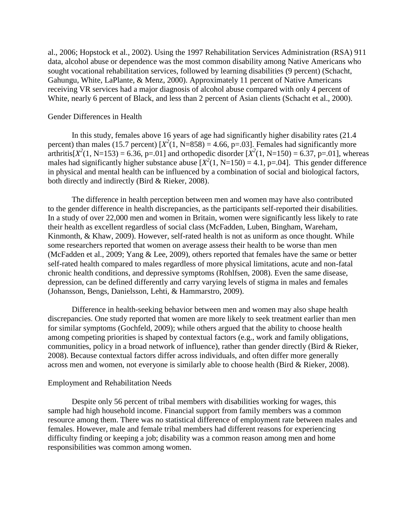al., 2006; Hopstock et al., 2002). Using the 1997 Rehabilitation Services Administration (RSA) 911 data, alcohol abuse or dependence was the most common disability among Native Americans who sought vocational rehabilitation services, followed by learning disabilities (9 percent) (Schacht, Gahungu, White, LaPlante, & Menz, 2000). Approximately 11 percent of Native Americans receiving VR services had a major diagnosis of alcohol abuse compared with only 4 percent of White, nearly 6 percent of Black, and less than 2 percent of Asian clients (Schacht et al., 2000).

### Gender Differences in Health

In this study, females above 16 years of age had significantly higher disability rates (21.4 percent) than males (15.7 percent)  $[X^2(1, N=858) = 4.66, p=.03]$ . Females had significantly more arthritis[ $X^2(1, N=153) = 6.36$ , p=.01] and orthopedic disorder  $[X^2(1, N=150) = 6.37$ , p=.01], whereas males had significantly higher substance abuse  $[X^2(1, N=150) = 4.1, p=.04]$ . This gender difference in physical and mental health can be influenced by a combination of social and biological factors, both directly and indirectly (Bird & Rieker, 2008).

The difference in health perception between men and women may have also contributed to the gender difference in health discrepancies, as the participants self-reported their disabilities. In a study of over 22,000 men and women in Britain, women were significantly less likely to rate their health as excellent regardless of social class (McFadden, Luben, Bingham, Wareham, Kinmonth, & Khaw, 2009). However, self-rated health is not as uniform as once thought. While some researchers reported that women on average assess their health to be worse than men (McFadden et al., 2009; Yang & Lee, 2009), others reported that females have the same or better self-rated health compared to males regardless of more physical limitations, acute and non-fatal chronic health conditions, and depressive symptoms (Rohlfsen, 2008). Even the same disease, depression, can be defined differently and carry varying levels of stigma in males and females (Johansson, Bengs, Danielsson, Lehti, & Hammarstro, 2009).

Difference in health-seeking behavior between men and women may also shape health discrepancies. One study reported that women are more likely to seek treatment earlier than men for similar symptoms (Gochfeld, 2009); while others argued that the ability to choose health among competing priorities is shaped by contextual factors (e.g., work and family obligations, communities, policy in a broad network of influence), rather than gender directly (Bird & Rieker, 2008). Because contextual factors differ across individuals, and often differ more generally across men and women, not everyone is similarly able to choose health (Bird & Rieker, 2008).

# Employment and Rehabilitation Needs

Despite only 56 percent of tribal members with disabilities working for wages, this sample had high household income. Financial support from family members was a common resource among them. There was no statistical difference of employment rate between males and females. However, male and female tribal members had different reasons for experiencing difficulty finding or keeping a job; disability was a common reason among men and home responsibilities was common among women.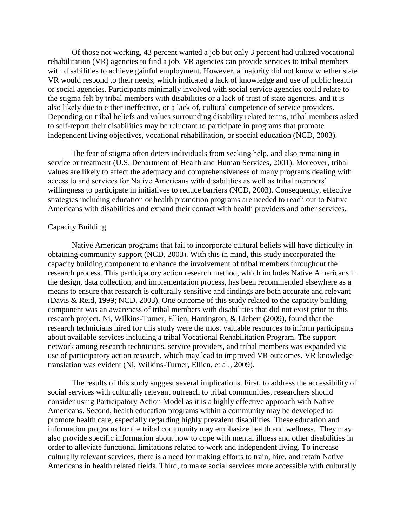Of those not working, 43 percent wanted a job but only 3 percent had utilized vocational rehabilitation (VR) agencies to find a job. VR agencies can provide services to tribal members with disabilities to achieve gainful employment. However, a majority did not know whether state VR would respond to their needs, which indicated a lack of knowledge and use of public health or social agencies. Participants minimally involved with social service agencies could relate to the stigma felt by tribal members with disabilities or a lack of trust of state agencies, and it is also likely due to either ineffective, or a lack of, cultural competence of service providers. Depending on tribal beliefs and values surrounding disability related terms, tribal members asked to self-report their disabilities may be reluctant to participate in programs that promote independent living objectives, vocational rehabilitation, or special education (NCD, 2003).

The fear of stigma often deters individuals from seeking help, and also remaining in service or treatment (U.S. Department of Health and Human Services, 2001). Moreover, tribal values are likely to affect the adequacy and comprehensiveness of many programs dealing with access to and services for Native Americans with disabilities as well as tribal members' willingness to participate in initiatives to reduce barriers (NCD, 2003). Consequently, effective strategies including education or health promotion programs are needed to reach out to Native Americans with disabilities and expand their contact with health providers and other services.

#### Capacity Building

Native American programs that fail to incorporate cultural beliefs will have difficulty in obtaining community support (NCD, 2003). With this in mind, this study incorporated the capacity building component to enhance the involvement of tribal members throughout the research process. This participatory action research method, which includes Native Americans in the design, data collection, and implementation process, has been recommended elsewhere as a means to ensure that research is culturally sensitive and findings are both accurate and relevant (Davis & Reid, 1999; NCD, 2003). One outcome of this study related to the capacity building component was an awareness of tribal members with disabilities that did not exist prior to this research project. Ni, Wilkins-Turner, Ellien, Harrington, & Liebert (2009), found that the research technicians hired for this study were the most valuable resources to inform participants about available services including a tribal Vocational Rehabilitation Program. The support network among research technicians, service providers, and tribal members was expanded via use of participatory action research, which may lead to improved VR outcomes. VR knowledge translation was evident (Ni, Wilkins-Turner, Ellien, et al., 2009).

The results of this study suggest several implications. First, to address the accessibility of social services with culturally relevant outreach to tribal communities, researchers should consider using Participatory Action Model as it is a highly effective approach with Native Americans. Second, health education programs within a community may be developed to promote health care, especially regarding highly prevalent disabilities. These education and information programs for the tribal community may emphasize health and wellness. They may also provide specific information about how to cope with mental illness and other disabilities in order to alleviate functional limitations related to work and independent living. To increase culturally relevant services, there is a need for making efforts to train, hire, and retain Native Americans in health related fields. Third, to make social services more accessible with culturally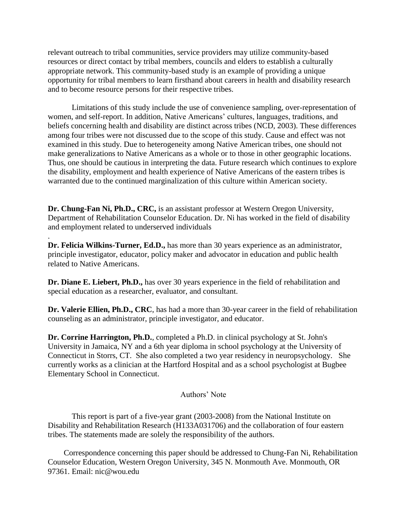relevant outreach to tribal communities, service providers may utilize community-based resources or direct contact by tribal members, councils and elders to establish a culturally appropriate network. This community-based study is an example of providing a unique opportunity for tribal members to learn firsthand about careers in health and disability research and to become resource persons for their respective tribes.

Limitations of this study include the use of convenience sampling, over-representation of women, and self-report. In addition, Native Americans' cultures, languages, traditions, and beliefs concerning health and disability are distinct across tribes (NCD, 2003). These differences among four tribes were not discussed due to the scope of this study. Cause and effect was not examined in this study. Due to heterogeneity among Native American tribes, one should not make generalizations to Native Americans as a whole or to those in other geographic locations. Thus, one should be cautious in interpreting the data. Future research which continues to explore the disability, employment and health experience of Native Americans of the eastern tribes is warranted due to the continued marginalization of this culture within American society.

**Dr. Chung-Fan Ni, Ph.D., CRC,** is an assistant professor at Western Oregon University, Department of Rehabilitation Counselor Education. Dr. Ni has worked in the field of disability and employment related to underserved individuals

**Dr. Felicia Wilkins-Turner, Ed.D.,** has more than 30 years experience as an administrator, principle investigator, educator, policy maker and advocator in education and public health related to Native Americans.

.

**Dr. Diane E. Liebert, Ph.D.,** has over 30 years experience in the field of rehabilitation and special education as a researcher, evaluator, and consultant.

**Dr. Valerie Ellien, Ph.D., CRC**, has had a more than 30-year career in the field of rehabilitation counseling as an administrator, principle investigator, and educator.

**Dr. Corrine Harrington, Ph.D.**, completed a Ph.D. in clinical psychology at St. John's University in Jamaica, NY and a 6th year diploma in school psychology at the University of Connecticut in Storrs, CT. She also completed a two year residency in neuropsychology. She currently works as a clinician at the Hartford Hospital and as a school psychologist at Bugbee Elementary School in Connecticut.

# Authors' Note

This report is part of a five-year grant (2003-2008) from the National Institute on Disability and Rehabilitation Research (H133A031706) and the collaboration of four eastern tribes. The statements made are solely the responsibility of the authors.

Correspondence concerning this paper should be addressed to Chung-Fan Ni, Rehabilitation Counselor Education, Western Oregon University, 345 N. Monmouth Ave. Monmouth, OR 97361. Email: nic@wou.edu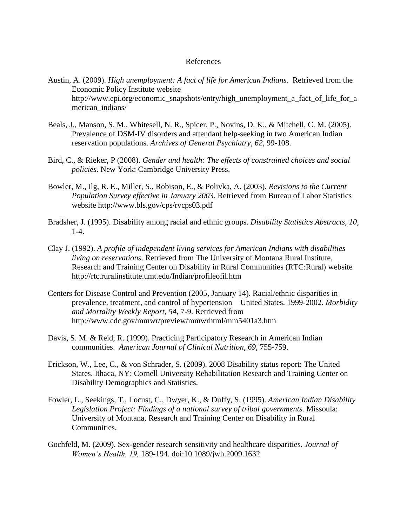### References

- Austin, A. (2009). *High unemployment: A fact of life for American Indians.* Retrieved from the Economic Policy Institute website http://www.epi.org/economic\_snapshots/entry/high\_unemployment\_a\_fact\_of\_life\_for\_a merican\_indians/
- Beals, J., Manson, S. M., Whitesell, N. R., Spicer, P., Novins, D. K., & Mitchell, C. M. (2005). Prevalence of DSM-IV disorders and attendant help-seeking in two American Indian reservation populations. *Archives of General Psychiatry, 62,* 99-108.
- Bird, C., & Rieker, P (2008). *Gender and health: The effects of constrained choices and social policies.* New York: Cambridge University Press.
- Bowler, M., Ilg, R. E., Miller, S., Robison, E., & Polivka, A. (2003). *Revisions to the Current Population Survey effective in January 2003.* Retrieved from Bureau of Labor Statistics website http://www.bls.gov/cps/rvcps03.pdf
- Bradsher, J. (1995). Disability among racial and ethnic groups. *Disability Statistics Abstracts, 10,* 1-4.
- Clay J. (1992). *A profile of independent living services for American Indians with disabilities living on reservations*. Retrieved from The University of Montana Rural Institute, Research and Training Center on Disability in Rural Communities (RTC:Rural) website http://rtc.ruralinstitute.umt.edu/Indian/profileofil.htm
- Centers for Disease Control and Prevention (2005, January 14). Racial/ethnic disparities in prevalence, treatment, and control of hypertension—United States, 1999-2002*. Morbidity and Mortality Weekly Report, 54,* 7-9. Retrieved from http://www.cdc.gov/mmwr/preview/mmwrhtml/mm5401a3.htm
- Davis, S. M. & Reid, R. (1999). Practicing Participatory Research in American Indian communities. *American Journal of Clinical Nutrition*, *69*, 755-759.
- Erickson, W., Lee, C., & von Schrader, S. (2009). 2008 Disability status report: The United States. Ithaca, NY: Cornell University Rehabilitation Research and Training Center on Disability Demographics and Statistics.
- Fowler, L., Seekings, T., Locust, C., Dwyer, K., & Duffy, S. (1995). *American Indian Disability Legislation Project: Findings of a national survey of tribal governments.* Missoula: University of Montana, Research and Training Center on Disability in Rural Communities.
- Gochfeld, M. (2009). Sex-gender research sensitivity and healthcare disparities. *Journal of Women's Health, 19,* 189-194. doi:10.1089/jwh.2009.1632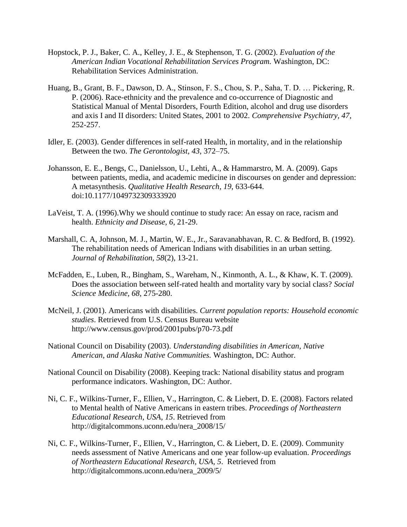- Hopstock, P. J., Baker, C. A., Kelley, J. E., & Stephenson, T. G. (2002). *Evaluation of the American Indian Vocational Rehabilitation Services Program.* Washington, DC: Rehabilitation Services Administration.
- Huang, B., Grant, B. F., Dawson, D. A., Stinson, F. S., Chou, S. P., Saha, T. D. … Pickering, R. P. (2006). Race-ethnicity and the prevalence and co-occurrence of Diagnostic and Statistical Manual of Mental Disorders, Fourth Edition, alcohol and drug use disorders and axis I and II disorders: United States, 2001 to 2002. *Comprehensive Psychiatry, 47*, 252-257.
- Idler, E. (2003). Gender differences in self-rated Health, in mortality, and in the relationship Between the two. *The Gerontologist, 43*, 372–75.
- Johansson, E. E., Bengs, C., Danielsson, U., Lehti, A., & Hammarstro, M. A. (2009). Gaps between patients, media, and academic medicine in discourses on gender and depression: A metasynthesis. *Qualitative Health Research, 19*, 633-644. doi:10.1177/1049732309333920
- LaVeist, T. A. (1996).Why we should continue to study race: An essay on race, racism and health. *Ethnicity and Disease, 6*, 21-29.
- Marshall, C. A, Johnson, M. J., Martin, W. E., Jr., Saravanabhavan, R. C. & Bedford, B. (1992). The rehabilitation needs of American Indians with disabilities in an urban setting. *Journal of Rehabilitation, 58*(2), 13-21.
- McFadden, E., Luben, R., Bingham, S., Wareham, N., Kinmonth, A. L., & Khaw, K. T. (2009). Does the association between self-rated health and mortality vary by social class? *Social Science Medicine, 68*, 275-280.
- McNeil, J. (2001). Americans with disabilities. *Current population reports: Household economic studies*. Retrieved from U.S. Census Bureau website http://www.census.gov/prod/2001pubs/p70-73.pdf
- National Council on Disability (2003). *Understanding disabilities in American, Native American, and Alaska Native Communities.* Washington, DC: Author.
- National Council on Disability (2008). Keeping track: National disability status and program performance indicators. Washington, DC: Author.
- Ni, C. F., Wilkins-Turner, F., Ellien, V., Harrington, C. & Liebert, D. E. (2008). Factors related to Mental health of Native Americans in eastern tribes. *Proceedings of Northeastern Educational Research, USA, 15*. Retrieved from http://digitalcommons.uconn.edu/nera\_2008/15/
- Ni, C. F., Wilkins-Turner, F., Ellien, V., Harrington, C. & Liebert, D. E. (2009). Community needs assessment of Native Americans and one year follow-up evaluation. *Proceedings of Northeastern Educational Research, USA, 5*. Retrieved from http://digitalcommons.uconn.edu/nera\_2009/5/